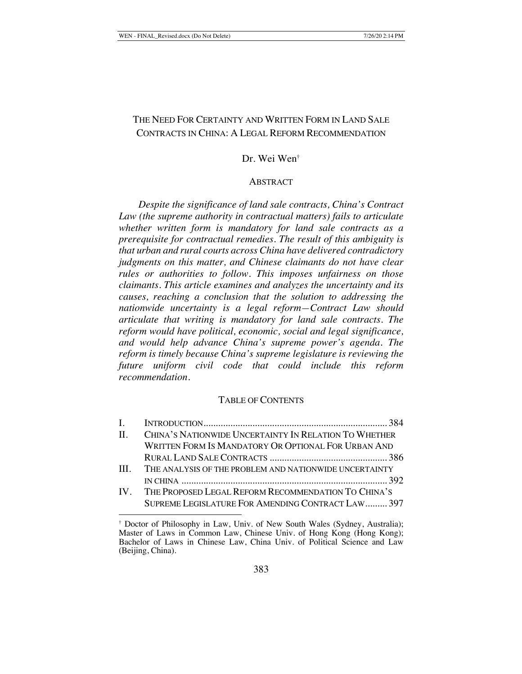# THE NEED FOR CERTAINTY AND WRITTEN FORM IN LAND SALE CONTRACTS IN CHINA: A LEGAL REFORM RECOMMENDATION

## Dr. Wei Wen†

#### ABSTRACT

*Despite the significance of land sale contracts, China's Contract Law (the supreme authority in contractual matters) fails to articulate whether written form is mandatory for land sale contracts as a prerequisite for contractual remedies. The result of this ambiguity is that urban and rural courts across China have delivered contradictory judgments on this matter, and Chinese claimants do not have clear rules or authorities to follow. This imposes unfairness on those claimants. This article examines and analyzes the uncertainty and its causes, reaching a conclusion that the solution to addressing the nationwide uncertainty is a legal reform—Contract Law should articulate that writing is mandatory for land sale contracts. The reform would have political, economic, social and legal significance, and would help advance China's supreme power's agenda. The reform is timely because China's supreme legislature is reviewing the future uniform civil code that could include this reform recommendation.* 

## TABLE OF CONTENTS

| $\mathbf{L}$ |                                                         |  |
|--------------|---------------------------------------------------------|--|
| $\Pi$ .      | CHINA'S NATIONWIDE UNCERTAINTY IN RELATION TO WHETHER   |  |
|              | WRITTEN FORM IS MANDATORY OR OPTIONAL FOR URBAN AND     |  |
|              |                                                         |  |
| III.         | THE ANALYSIS OF THE PROBLEM AND NATIONWIDE UNCERTAINTY  |  |
|              |                                                         |  |
|              | IV. THE PROPOSED LEGAL REFORM RECOMMENDATION TO CHINA'S |  |
|              | SUPREME LEGISLATURE FOR AMENDING CONTRACT LAW 397       |  |

<sup>†</sup> Doctor of Philosophy in Law, Univ. of New South Wales (Sydney, Australia); Master of Laws in Common Law, Chinese Univ. of Hong Kong (Hong Kong); Bachelor of Laws in Chinese Law, China Univ. of Political Science and Law (Beijing, China).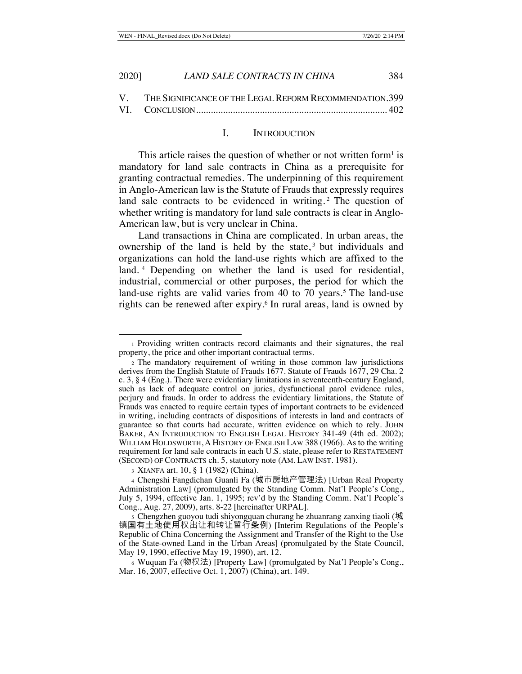| 2020] | LAND SALE CONTRACTS IN CHINA | 384 |
|-------|------------------------------|-----|
|       |                              |     |

V. THE SIGNIFICANCE OF THE LEGAL REFORM RECOMMENDATION. 399 VI. CONCLUSION.............................................................................. 402

#### I. INTRODUCTION

This article raises the question of whether or not written form<sup>1</sup> is mandatory for land sale contracts in China as a prerequisite for granting contractual remedies. The underpinning of this requirement in Anglo-American law is the Statute of Frauds that expressly requires land sale contracts to be evidenced in writing.<sup>2</sup> The question of whether writing is mandatory for land sale contracts is clear in Anglo-American law, but is very unclear in China.

Land transactions in China are complicated. In urban areas, the ownership of the land is held by the state, $3$  but individuals and organizations can hold the land-use rights which are affixed to the land. 4 Depending on whether the land is used for residential, industrial, commercial or other purposes, the period for which the land-use rights are valid varies from 40 to 70 years.<sup>5</sup> The land-use rights can be renewed after expiry.6 In rural areas, land is owned by

<sup>1</sup> Providing written contracts record claimants and their signatures, the real property, the price and other important contractual terms.

<sup>2</sup> The mandatory requirement of writing in those common law jurisdictions derives from the English Statute of Frauds 1677. Statute of Frauds 1677, 29 Cha. 2 c. 3, § 4 (Eng.). There were evidentiary limitations in seventeenth-century England, such as lack of adequate control on juries, dysfunctional parol evidence rules, perjury and frauds. In order to address the evidentiary limitations, the Statute of Frauds was enacted to require certain types of important contracts to be evidenced in writing, including contracts of dispositions of interests in land and contracts of guarantee so that courts had accurate, written evidence on which to rely. JOHN BAKER, AN INTRODUCTION TO ENGLISH LEGAL HISTORY 341-49 (4th ed. 2002); WILLIAM HOLDSWORTH, A HISTORY OF ENGLISH LAW 388 (1966). As to the writing requirement for land sale contracts in each U.S. state, please refer to RESTATEMENT (SECOND) OF CONTRACTS ch. 5, statutory note (AM. LAW INST. 1981).

<sup>3</sup> XIANFA art. 10, § 1 (1982) (China).

<sup>4</sup> Chengshi Fangdichan Guanli Fa (城市房地产管理法) [Urban Real Property Administration Law] (promulgated by the Standing Comm. Nat'l People's Cong., July 5, 1994, effective Jan. 1, 1995; rev'd by the Standing Comm. Nat'l People's Cong., Aug. 27, 2009), arts. 8-22 [hereinafter URPAL].

<sup>5</sup> Chengzhen guoyou tudi shiyongquan churang he zhuanrang zanxing tiaoli (城 镇国有土地使用权出让和转让暂行条例) [Interim Regulations of the People's Republic of China Concerning the Assignment and Transfer of the Right to the Use of the State-owned Land in the Urban Areas] (promulgated by the State Council, May 19, 1990, effective May 19, 1990), art. 12.

<sup>6</sup> Wuquan Fa (物权法) [Property Law] (promulgated by Nat'l People's Cong., Mar. 16, 2007, effective Oct. 1, 2007) (China), art. 149.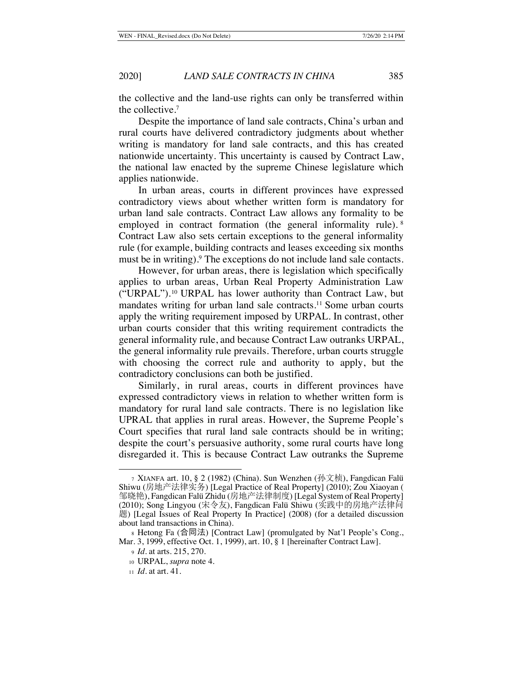the collective and the land-use rights can only be transferred within the collective.7

Despite the importance of land sale contracts, China's urban and rural courts have delivered contradictory judgments about whether writing is mandatory for land sale contracts, and this has created nationwide uncertainty. This uncertainty is caused by Contract Law, the national law enacted by the supreme Chinese legislature which applies nationwide.

In urban areas, courts in different provinces have expressed contradictory views about whether written form is mandatory for urban land sale contracts. Contract Law allows any formality to be employed in contract formation (the general informality rule). <sup>8</sup> Contract Law also sets certain exceptions to the general informality rule (for example, building contracts and leases exceeding six months must be in writing).<sup>9</sup> The exceptions do not include land sale contacts.

However, for urban areas, there is legislation which specifically applies to urban areas, Urban Real Property Administration Law ("URPAL").10 URPAL has lower authority than Contract Law, but mandates writing for urban land sale contracts.<sup>11</sup> Some urban courts apply the writing requirement imposed by URPAL. In contrast, other urban courts consider that this writing requirement contradicts the general informality rule, and because Contract Law outranks URPAL, the general informality rule prevails. Therefore, urban courts struggle with choosing the correct rule and authority to apply, but the contradictory conclusions can both be justified.

Similarly, in rural areas, courts in different provinces have expressed contradictory views in relation to whether written form is mandatory for rural land sale contracts. There is no legislation like UPRAL that applies in rural areas. However, the Supreme People's Court specifies that rural land sale contracts should be in writing; despite the court's persuasive authority, some rural courts have long disregarded it. This is because Contract Law outranks the Supreme

<sup>7</sup> XIANFA art. 10, § 2 (1982) (China). Sun Wenzhen (孙文桢), Fangdican Falü Shiwu (房地产法律实务) [Legal Practice of Real Property] (2010); Zou Xiaoyan ( 邹晓艳), Fangdican Falü Zhidu (房地产法律制度) [Legal System of Real Property] (2010); Song Lingyou (宋令友), Fangdican Falü Shiwu (实践中的房地产法律问 题) [Legal Issues of Real Property In Practice] (2008) (for a detailed discussion about land transactions in China).

<sup>8</sup> Hetong Fa (合同法) [Contract Law] (promulgated by Nat'l People's Cong., Mar. 3, 1999, effective Oct. 1, 1999), art. 10, § 1 [hereinafter Contract Law].

<sup>9</sup> *Id.* at arts. 215, 270.

<sup>10</sup> URPAL, *supra* note 4.

<sup>11</sup> *Id.* at art. 41.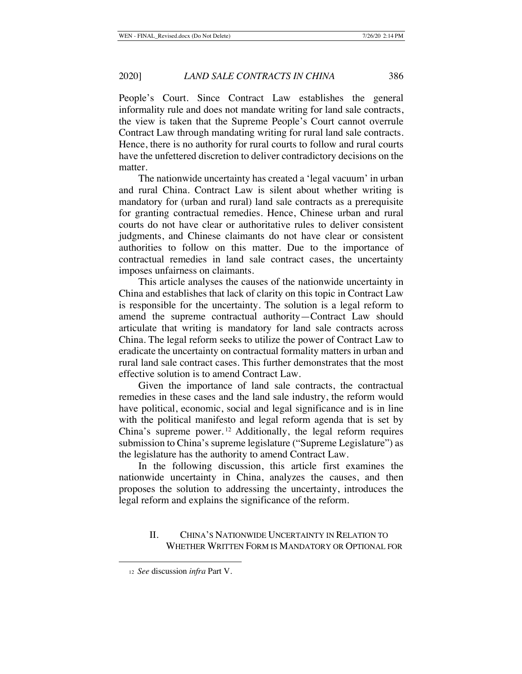People's Court. Since Contract Law establishes the general informality rule and does not mandate writing for land sale contracts, the view is taken that the Supreme People's Court cannot overrule Contract Law through mandating writing for rural land sale contracts. Hence, there is no authority for rural courts to follow and rural courts have the unfettered discretion to deliver contradictory decisions on the matter.

The nationwide uncertainty has created a 'legal vacuum' in urban and rural China. Contract Law is silent about whether writing is mandatory for (urban and rural) land sale contracts as a prerequisite for granting contractual remedies. Hence, Chinese urban and rural courts do not have clear or authoritative rules to deliver consistent judgments, and Chinese claimants do not have clear or consistent authorities to follow on this matter. Due to the importance of contractual remedies in land sale contract cases, the uncertainty imposes unfairness on claimants.

This article analyses the causes of the nationwide uncertainty in China and establishes that lack of clarity on this topic in Contract Law is responsible for the uncertainty. The solution is a legal reform to amend the supreme contractual authority—Contract Law should articulate that writing is mandatory for land sale contracts across China. The legal reform seeks to utilize the power of Contract Law to eradicate the uncertainty on contractual formality matters in urban and rural land sale contract cases. This further demonstrates that the most effective solution is to amend Contract Law.

Given the importance of land sale contracts, the contractual remedies in these cases and the land sale industry, the reform would have political, economic, social and legal significance and is in line with the political manifesto and legal reform agenda that is set by China's supreme power. 12 Additionally, the legal reform requires submission to China's supreme legislature ("Supreme Legislature") as the legislature has the authority to amend Contract Law.

In the following discussion, this article first examines the nationwide uncertainty in China, analyzes the causes, and then proposes the solution to addressing the uncertainty, introduces the legal reform and explains the significance of the reform.

## II. CHINA'S NATIONWIDE UNCERTAINTY IN RELATION TO WHETHER WRITTEN FORM IS MANDATORY OR OPTIONAL FOR

<sup>12</sup> *See* discussion *infra* Part V.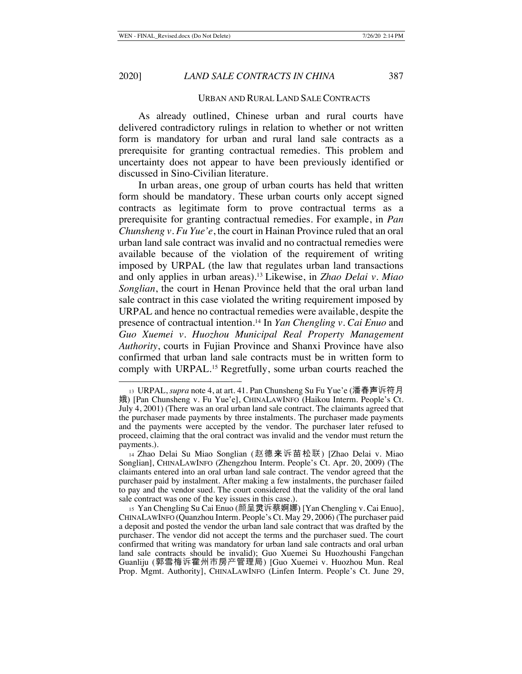URBAN AND RURAL LAND SALE CONTRACTS

As already outlined, Chinese urban and rural courts have delivered contradictory rulings in relation to whether or not written form is mandatory for urban and rural land sale contracts as a prerequisite for granting contractual remedies. This problem and uncertainty does not appear to have been previously identified or discussed in Sino-Civilian literature.

In urban areas, one group of urban courts has held that written form should be mandatory. These urban courts only accept signed contracts as legitimate form to prove contractual terms as a prerequisite for granting contractual remedies. For example, in *Pan Chunsheng v. Fu Yue'e*, the court in Hainan Province ruled that an oral urban land sale contract was invalid and no contractual remedies were available because of the violation of the requirement of writing imposed by URPAL (the law that regulates urban land transactions and only applies in urban areas).13 Likewise, in *Zhao Delai v. Miao Songlian*, the court in Henan Province held that the oral urban land sale contract in this case violated the writing requirement imposed by URPAL and hence no contractual remedies were available, despite the presence of contractual intention.14 In *Yan Chengling v. Cai Enuo* and *Guo Xuemei v. Huozhou Municipal Real Property Management Authority*, courts in Fujian Province and Shanxi Province have also confirmed that urban land sale contracts must be in written form to comply with URPAL.<sup>15</sup> Regretfully, some urban courts reached the

<sup>13</sup> URPAL, *supra* note 4, at art. 41. Pan Chunsheng Su Fu Yue'e (潘春声诉符月 娥) [Pan Chunsheng v. Fu Yue'e], CHINALAWINFO (Haikou Interm. People's Ct. July 4, 2001) (There was an oral urban land sale contract. The claimants agreed that the purchaser made payments by three instalments. The purchaser made payments and the payments were accepted by the vendor. The purchaser later refused to proceed, claiming that the oral contract was invalid and the vendor must return the payments.).

<sup>14</sup> Zhao Delai Su Miao Songlian (赵德来诉苗松联) [Zhao Delai v. Miao Songlian], CHINALAWINFO (Zhengzhou Interm. People's Ct. Apr. 20, 2009) (The claimants entered into an oral urban land sale contract. The vendor agreed that the purchaser paid by instalment. After making a few instalments, the purchaser failed to pay and the vendor sued. The court considered that the validity of the oral land sale contract was one of the key issues in this case.).

<sup>15</sup> Yan Chengling Su Cai Enuo (颜呈灵诉蔡婀娜) [Yan Chengling v. Cai Enuo], CHINALAWINFO (Quanzhou Interm. People's Ct. May 29, 2006) (The purchaser paid a deposit and posted the vendor the urban land sale contract that was drafted by the purchaser. The vendor did not accept the terms and the purchaser sued. The court confirmed that writing was mandatory for urban land sale contracts and oral urban land sale contracts should be invalid); Guo Xuemei Su Huozhoushi Fangchan Guanliju (郭雪梅诉霍州市房产管理局) [Guo Xuemei v. Huozhou Mun. Real Prop. Mgmt. Authority], CHINALAWINFO (Linfen Interm. People's Ct. June 29,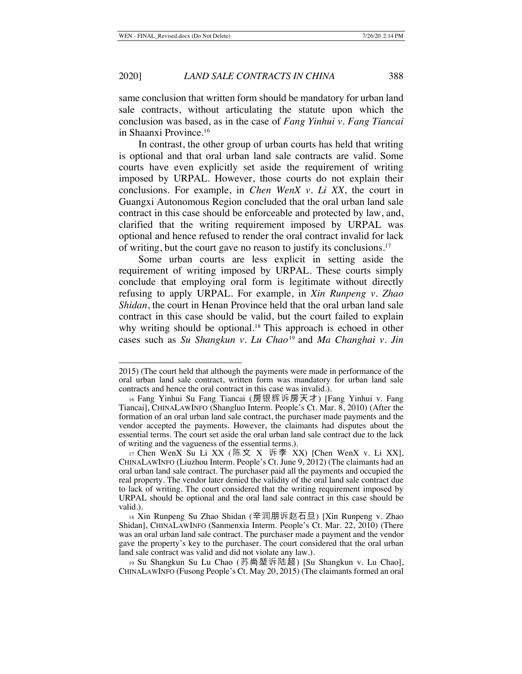same conclusion that written form should be mandatory for urban land sale contracts, without articulating the statute upon which the conclusion was based, as in the case of *Fang Yinhui v. Fang Tiancai*  in Shaanxi Province.16

In contrast, the other group of urban courts has held that writing is optional and that oral urban land sale contracts are valid. Some courts have even explicitly set aside the requirement of writing imposed by URPAL. However, those courts do not explain their conclusions. For example, in *Chen WenX v. Li XX*, the court in Guangxi Autonomous Region concluded that the oral urban land sale contract in this case should be enforceable and protected by law, and, clarified that the writing requirement imposed by URPAL was optional and hence refused to render the oral contract invalid for lack of writing, but the court gave no reason to justify its conclusions.17

Some urban courts are less explicit in setting aside the requirement of writing imposed by URPAL. These courts simply conclude that employing oral form is legitimate without directly refusing to apply URPAL. For example, in *Xin Runpeng v. Zhao Shidan*, the court in Henan Province held that the oral urban land sale contract in this case should be valid, but the court failed to explain why writing should be optional.<sup>18</sup> This approach is echoed in other cases such as *Su Shangkun v. Lu Chao*<sup>19</sup> and *Ma Changhai v. Jin* 

<sup>2015) (</sup>The court held that although the payments were made in performance of the oral urban land sale contract, written form was mandatory for urban land sale contracts and hence the oral contract in this case was invalid.).

<sup>16</sup> Fang Yinhui Su Fang Tiancai (房银辉诉房天才) [Fang Yinhui v. Fang Tiancai], CHINALAWINFO (Shangluo Interm. People's Ct. Mar. 8, 2010) (After the formation of an oral urban land sale contract, the purchaser made payments and the vendor accepted the payments. However, the claimants had disputes about the essential terms. The court set aside the oral urban land sale contract due to the lack of writing and the vagueness of the essential terms.).

<sup>17</sup> Chen WenX Su Li XX (陈文 X 诉李 XX) [Chen WenX v. Li XX], CHINALAWINFO (Liuzhou Interm. People's Ct. June 9, 2012) (The claimants had an oral urban land sale contract. The purchaser paid all the payments and occupied the real property. The vendor later denied the validity of the oral land sale contract due to lack of writing. The court considered that the writing requirement imposed by URPAL should be optional and the oral land sale contract in this case should be valid.).

<sup>18</sup> Xin Runpeng Su Zhao Shidan (辛润朋诉赵石旦) [Xin Runpeng v. Zhao Shidan], CHINALAWINFO (Sanmenxia Interm. People's Ct. Mar. 22, 2010) (There was an oral urban land sale contract. The purchaser made a payment and the vendor gave the property's key to the purchaser. The court considered that the oral urban land sale contract was valid and did not violate any law.).

<sup>19</sup> Su Shangkun Su Lu Chao (苏尚堃诉陆超) [Su Shangkun v. Lu Chao], CHINALAWINFO (Fusong People's Ct. May 20, 2015) (The claimants formed an oral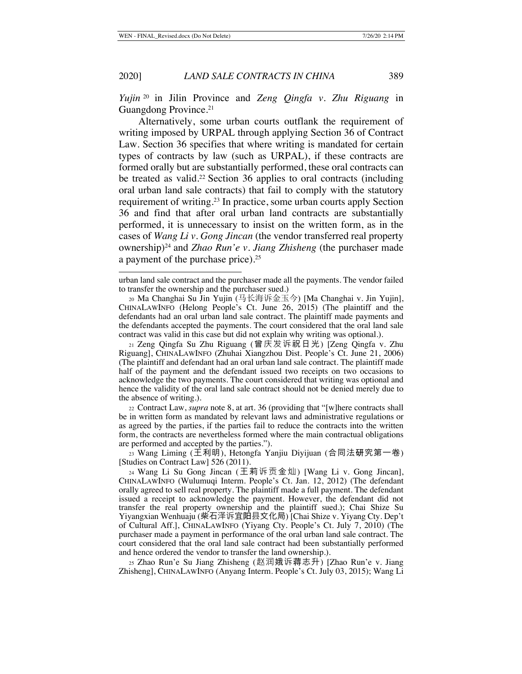*Yujin* <sup>20</sup> in Jilin Province and *Zeng Qingfa v. Zhu Riguang* in Guangdong Province.21

Alternatively, some urban courts outflank the requirement of writing imposed by URPAL through applying Section 36 of Contract Law. Section 36 specifies that where writing is mandated for certain types of contracts by law (such as URPAL), if these contracts are formed orally but are substantially performed, these oral contracts can be treated as valid.<sup>22</sup> Section 36 applies to oral contracts (including oral urban land sale contracts) that fail to comply with the statutory requirement of writing.23 In practice, some urban courts apply Section 36 and find that after oral urban land contracts are substantially performed, it is unnecessary to insist on the written form, as in the cases of *Wang Li v. Gong Jincan* (the vendor transferred real property ownership)24 and *Zhao Run'e v. Jiang Zhisheng* (the purchaser made a payment of the purchase price).25

<sup>25</sup> Zhao Run'e Su Jiang Zhisheng (赵润娥诉蒋志升) [Zhao Run'e v. Jiang Zhisheng], CHINALAWINFO (Anyang Interm. People's Ct. July 03, 2015); Wang Li

urban land sale contract and the purchaser made all the payments. The vendor failed to transfer the ownership and the purchaser sued.)

<sup>20</sup> Ma Changhai Su Jin Yujin (马长海诉金玉今) [Ma Changhai v. Jin Yujin], CHINALAWINFO (Helong People's Ct. June 26, 2015) (The plaintiff and the defendants had an oral urban land sale contract. The plaintiff made payments and the defendants accepted the payments. The court considered that the oral land sale contract was valid in this case but did not explain why writing was optional.).

<sup>21</sup> Zeng Qingfa Su Zhu Riguang (曾庆发诉祝日光) [Zeng Qingfa v. Zhu Riguang], CHINALAWINFO (Zhuhai Xiangzhou Dist. People's Ct. June 21, 2006) (The plaintiff and defendant had an oral urban land sale contract. The plaintiff made half of the payment and the defendant issued two receipts on two occasions to acknowledge the two payments. The court considered that writing was optional and hence the validity of the oral land sale contract should not be denied merely due to the absence of writing.).

<sup>22</sup> Contract Law, *supra* note 8, at art. 36 (providing that "[w]here contracts shall be in written form as mandated by relevant laws and administrative regulations or as agreed by the parties, if the parties fail to reduce the contracts into the written form, the contracts are nevertheless formed where the main contractual obligations are performed and accepted by the parties.").

<sup>23</sup> Wang Liming (王利明), Hetongfa Yanjiu Diyijuan (合同法研究第一卷) [Studies on Contract Law] 526 (2011).

<sup>24</sup> Wang Li Su Gong Jincan (王莉诉贡金灿) [Wang Li v. Gong Jincan], CHINALAWINFO (Wulumuqi Interm. People's Ct. Jan. 12, 2012) (The defendant orally agreed to sell real property. The plaintiff made a full payment. The defendant issued a receipt to acknowledge the payment. However, the defendant did not transfer the real property ownership and the plaintiff sued.); Chai Shize Su Yiyangxian Wenhuaju (柴石泽诉宜阳县文化局) [Chai Shize v. Yiyang Cty. Dep't of Cultural Aff.], CHINALAWINFO (Yiyang Cty. People's Ct. July 7, 2010) (The purchaser made a payment in performance of the oral urban land sale contract. The court considered that the oral land sale contract had been substantially performed and hence ordered the vendor to transfer the land ownership.).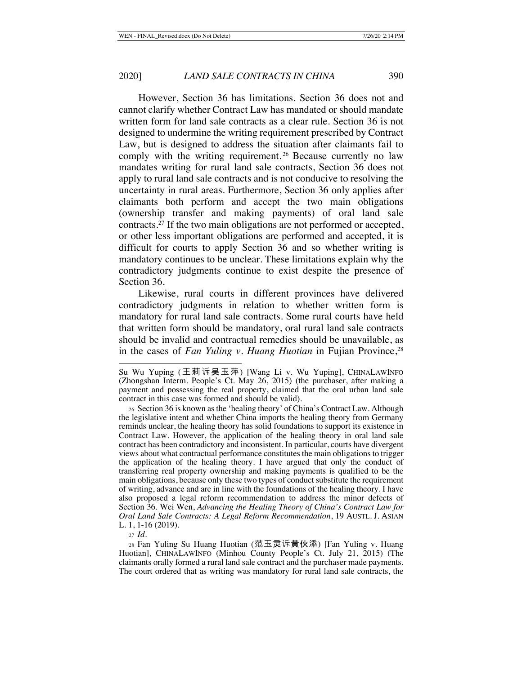However, Section 36 has limitations. Section 36 does not and cannot clarify whether Contract Law has mandated or should mandate written form for land sale contracts as a clear rule. Section 36 is not designed to undermine the writing requirement prescribed by Contract Law, but is designed to address the situation after claimants fail to comply with the writing requirement.<sup>26</sup> Because currently no law mandates writing for rural land sale contracts, Section 36 does not apply to rural land sale contracts and is not conducive to resolving the uncertainty in rural areas. Furthermore, Section 36 only applies after claimants both perform and accept the two main obligations (ownership transfer and making payments) of oral land sale contracts.27 If the two main obligations are not performed or accepted, or other less important obligations are performed and accepted, it is difficult for courts to apply Section 36 and so whether writing is mandatory continues to be unclear. These limitations explain why the contradictory judgments continue to exist despite the presence of Section 36.

Likewise, rural courts in different provinces have delivered contradictory judgments in relation to whether written form is mandatory for rural land sale contracts. Some rural courts have held that written form should be mandatory, oral rural land sale contracts should be invalid and contractual remedies should be unavailable, as in the cases of *Fan Yuling v. Huang Huotian* in Fujian Province,<sup>28</sup>

Su Wu Yuping (王莉诉吴玉萍) [Wang Li v. Wu Yuping], CHINALAWINFO (Zhongshan Interm. People's Ct. May 26, 2015) (the purchaser, after making a payment and possessing the real property, claimed that the oral urban land sale contract in this case was formed and should be valid).

<sup>26</sup> Section 36 is known as the 'healing theory' of China's Contract Law. Although the legislative intent and whether China imports the healing theory from Germany reminds unclear, the healing theory has solid foundations to support its existence in Contract Law. However, the application of the healing theory in oral land sale contract has been contradictory and inconsistent. In particular, courts have divergent views about what contractual performance constitutes the main obligations to trigger the application of the healing theory. I have argued that only the conduct of transferring real property ownership and making payments is qualified to be the main obligations, because only these two types of conduct substitute the requirement of writing, advance and are in line with the foundations of the healing theory. I have also proposed a legal reform recommendation to address the minor defects of Section 36. Wei Wen, *Advancing the Healing Theory of China's Contract Law for Oral Land Sale Contracts: A Legal Reform Recommendation*, 19 AUSTL. J. ASIAN L. 1, 1-16 (2019).

<sup>27</sup> *Id.*

<sup>28</sup> Fan Yuling Su Huang Huotian (范玉灵诉黄伙添) [Fan Yuling v. Huang Huotian], CHINALAWINFO (Minhou County People's Ct. July 21, 2015) (The claimants orally formed a rural land sale contract and the purchaser made payments. The court ordered that as writing was mandatory for rural land sale contracts, the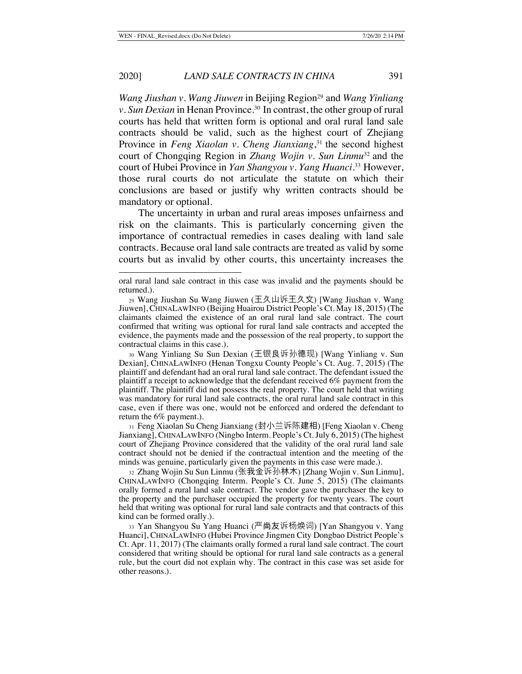*Wang Jiushan v. Wang Jiuwen* in Beijing Region<sup>29</sup> and *Wang Yinliang v. Sun Dexian* in Henan Province.<sup>30</sup> In contrast, the other group of rural courts has held that written form is optional and oral rural land sale contracts should be valid, such as the highest court of Zhejiang Province in *Feng Xiaolan v. Cheng Jianxiang*, 31 the second highest court of Chongqing Region in *Zhang Wojin v. Sun Linmu*32 and the court of Hubei Province in *Yan Shangyou v. Yang Huanci*. 33 However, those rural courts do not articulate the statute on which their conclusions are based or justify why written contracts should be mandatory or optional.

The uncertainty in urban and rural areas imposes unfairness and risk on the claimants. This is particularly concerning given the importance of contractual remedies in cases dealing with land sale contracts. Because oral land sale contracts are treated as valid by some courts but as invalid by other courts, this uncertainty increases the

<sup>31</sup> Feng Xiaolan Su Cheng Jianxiang (封小兰诉陈建相) [Feng Xiaolan v. Cheng Jianxiang], CHINALAWINFO (Ningbo Interm. People's Ct. July 6, 2015) (The highest court of Zhejiang Province considered that the validity of the oral rural land sale contract should not be denied if the contractual intention and the meeting of the minds was genuine, particularly given the payments in this case were made.).

<sup>32</sup> Zhang Wojin Su Sun Linmu (张我金诉孙林木) [Zhang Wojin v. Sun Linmu], CHINALAWINFO (Chongqing Interm. People's Ct. June 5, 2015) (The claimants orally formed a rural land sale contract. The vendor gave the purchaser the key to the property and the purchaser occupied the property for twenty years. The court held that writing was optional for rural land sale contracts and that contracts of this kind can be formed orally.).

<sup>33</sup> Yan Shangyou Su Yang Huanci (严尚友诉杨焕词) [Yan Shangyou v. Yang Huanci], CHINALAWINFO (Hubei Province Jingmen City Dongbao District People's Ct. Apr. 11, 2017) (The claimants orally formed a rural land sale contract. The court considered that writing should be optional for rural land sale contracts as a general rule, but the court did not explain why. The contract in this case was set aside for other reasons.).

oral rural land sale contract in this case was invalid and the payments should be returned.).

<sup>29</sup> Wang Jiushan Su Wang Jiuwen (王久山诉王久文) [Wang Jiushan v. Wang Jiuwen], CHINALAWINFO (Beijing Huairou District People's Ct. May 18, 2015) (The claimants claimed the existence of an oral rural land sale contract. The court confirmed that writing was optional for rural land sale contracts and accepted the evidence, the payments made and the possession of the real property, to support the contractual claims in this case.).

<sup>30</sup> Wang Yinliang Su Sun Dexian (王银良诉孙德现) [Wang Yinliang v. Sun Dexian], CHINALAWINFO (Henan Tongxu County People's Ct. Aug. 7, 2015) (The plaintiff and defendant had an oral rural land sale contract. The defendant issued the plaintiff a receipt to acknowledge that the defendant received 6% payment from the plaintiff. The plaintiff did not possess the real property. The court held that writing was mandatory for rural land sale contracts, the oral rural land sale contract in this case, even if there was one, would not be enforced and ordered the defendant to return the 6% payment.).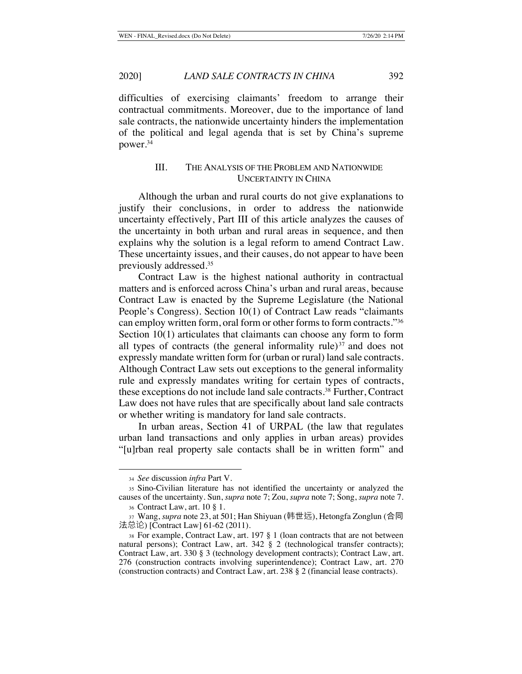difficulties of exercising claimants' freedom to arrange their contractual commitments. Moreover, due to the importance of land sale contracts, the nationwide uncertainty hinders the implementation of the political and legal agenda that is set by China's supreme power.34

## III. THE ANALYSIS OF THE PROBLEM AND NATIONWIDE UNCERTAINTY IN CHINA

Although the urban and rural courts do not give explanations to justify their conclusions, in order to address the nationwide uncertainty effectively, Part III of this article analyzes the causes of the uncertainty in both urban and rural areas in sequence, and then explains why the solution is a legal reform to amend Contract Law. These uncertainty issues, and their causes, do not appear to have been previously addressed.35

Contract Law is the highest national authority in contractual matters and is enforced across China's urban and rural areas, because Contract Law is enacted by the Supreme Legislature (the National People's Congress). Section 10(1) of Contract Law reads "claimants can employ written form, oral form or other forms to form contracts."36 Section 10(1) articulates that claimants can choose any form to form all types of contracts (the general informality rule) $37$  and does not expressly mandate written form for (urban or rural) land sale contracts. Although Contract Law sets out exceptions to the general informality rule and expressly mandates writing for certain types of contracts, these exceptions do not include land sale contracts.38 Further, Contract Law does not have rules that are specifically about land sale contracts or whether writing is mandatory for land sale contracts.

In urban areas, Section 41 of URPAL (the law that regulates urban land transactions and only applies in urban areas) provides "[u]rban real property sale contacts shall be in written form" and

<sup>34</sup> *See* discussion *infra* Part V.

<sup>35</sup> Sino-Civilian literature has not identified the uncertainty or analyzed the causes of the uncertainty. Sun, *supra* note 7; Zou, *supra* note 7; Song, *supra* note 7. <sup>36</sup> Contract Law, art. 10 § 1.

<sup>37</sup> Wang, *supra* note 23, at 501; Han Shiyuan (韩世远), Hetongfa Zonglun (合同 法总论) [Contract Law] 61-62 (2011).

<sup>38</sup> For example, Contract Law, art. 197 § 1 (loan contracts that are not between natural persons); Contract Law, art. 342 § 2 (technological transfer contracts); Contract Law, art. 330 § 3 (technology development contracts); Contract Law, art. 276 (construction contracts involving superintendence); Contract Law, art. 270 (construction contracts) and Contract Law, art. 238 § 2 (financial lease contracts).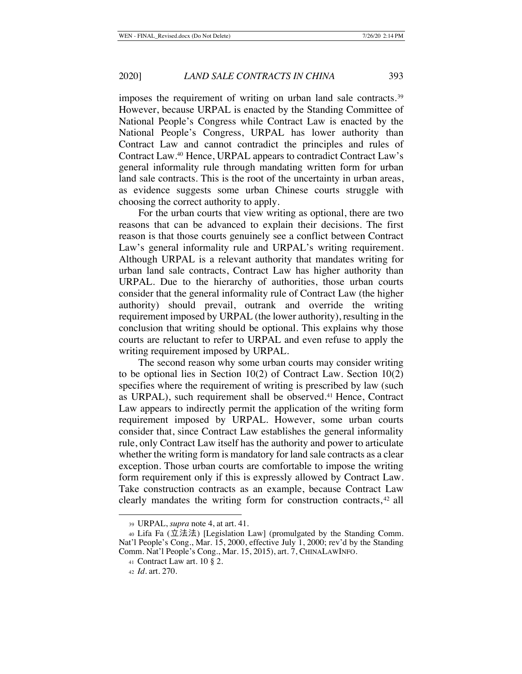imposes the requirement of writing on urban land sale contracts.<sup>39</sup> However, because URPAL is enacted by the Standing Committee of National People's Congress while Contract Law is enacted by the National People's Congress, URPAL has lower authority than Contract Law and cannot contradict the principles and rules of Contract Law.40 Hence, URPAL appears to contradict Contract Law's general informality rule through mandating written form for urban land sale contracts. This is the root of the uncertainty in urban areas, as evidence suggests some urban Chinese courts struggle with choosing the correct authority to apply.

For the urban courts that view writing as optional, there are two reasons that can be advanced to explain their decisions. The first reason is that those courts genuinely see a conflict between Contract Law's general informality rule and URPAL's writing requirement. Although URPAL is a relevant authority that mandates writing for urban land sale contracts, Contract Law has higher authority than URPAL. Due to the hierarchy of authorities, those urban courts consider that the general informality rule of Contract Law (the higher authority) should prevail, outrank and override the writing requirement imposed by URPAL (the lower authority), resulting in the conclusion that writing should be optional. This explains why those courts are reluctant to refer to URPAL and even refuse to apply the writing requirement imposed by URPAL.

The second reason why some urban courts may consider writing to be optional lies in Section 10(2) of Contract Law. Section 10(2) specifies where the requirement of writing is prescribed by law (such as URPAL), such requirement shall be observed.<sup>41</sup> Hence, Contract Law appears to indirectly permit the application of the writing form requirement imposed by URPAL. However, some urban courts consider that, since Contract Law establishes the general informality rule, only Contract Law itself has the authority and power to articulate whether the writing form is mandatory for land sale contracts as a clear exception. Those urban courts are comfortable to impose the writing form requirement only if this is expressly allowed by Contract Law. Take construction contracts as an example, because Contract Law clearly mandates the writing form for construction contracts, <sup>42</sup> all

<sup>39</sup> URPAL, *supra* note 4, at art. 41.

 $40$  Lifa Fa (立法法) [Legislation Law] (promulgated by the Standing Comm. Nat'l People's Cong., Mar. 15, 2000, effective July 1, 2000; rev'd by the Standing Comm. Nat'l People's Cong., Mar. 15, 2015), art. 7, CHINALAWINFO.

<sup>41</sup> Contract Law art. 10 § 2.

<sup>42</sup> *Id.* art. 270.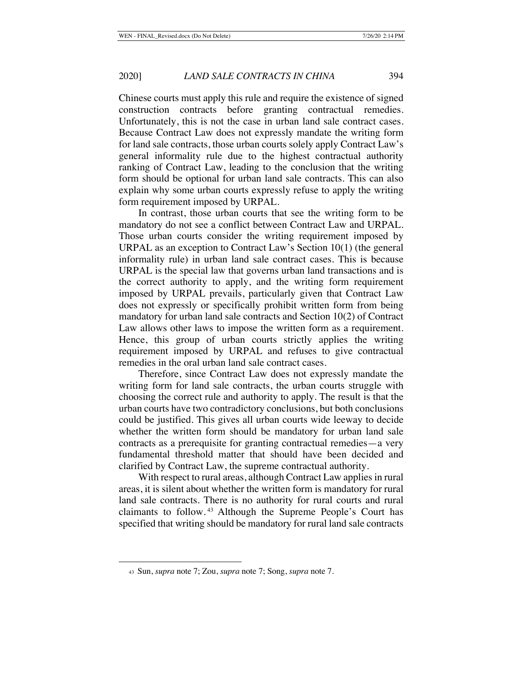Chinese courts must apply this rule and require the existence of signed construction contracts before granting contractual remedies. Unfortunately, this is not the case in urban land sale contract cases. Because Contract Law does not expressly mandate the writing form for land sale contracts, those urban courts solely apply Contract Law's general informality rule due to the highest contractual authority ranking of Contract Law, leading to the conclusion that the writing form should be optional for urban land sale contracts. This can also explain why some urban courts expressly refuse to apply the writing form requirement imposed by URPAL.

In contrast, those urban courts that see the writing form to be mandatory do not see a conflict between Contract Law and URPAL. Those urban courts consider the writing requirement imposed by URPAL as an exception to Contract Law's Section 10(1) (the general informality rule) in urban land sale contract cases. This is because URPAL is the special law that governs urban land transactions and is the correct authority to apply, and the writing form requirement imposed by URPAL prevails, particularly given that Contract Law does not expressly or specifically prohibit written form from being mandatory for urban land sale contracts and Section 10(2) of Contract Law allows other laws to impose the written form as a requirement. Hence, this group of urban courts strictly applies the writing requirement imposed by URPAL and refuses to give contractual remedies in the oral urban land sale contract cases.

Therefore, since Contract Law does not expressly mandate the writing form for land sale contracts, the urban courts struggle with choosing the correct rule and authority to apply. The result is that the urban courts have two contradictory conclusions, but both conclusions could be justified. This gives all urban courts wide leeway to decide whether the written form should be mandatory for urban land sale contracts as a prerequisite for granting contractual remedies—a very fundamental threshold matter that should have been decided and clarified by Contract Law, the supreme contractual authority.

With respect to rural areas, although Contract Law applies in rural areas, it is silent about whether the written form is mandatory for rural land sale contracts. There is no authority for rural courts and rural claimants to follow. 43 Although the Supreme People's Court has specified that writing should be mandatory for rural land sale contracts

<sup>43</sup> Sun, *supra* note 7; Zou, *supra* note 7; Song, *supra* note 7.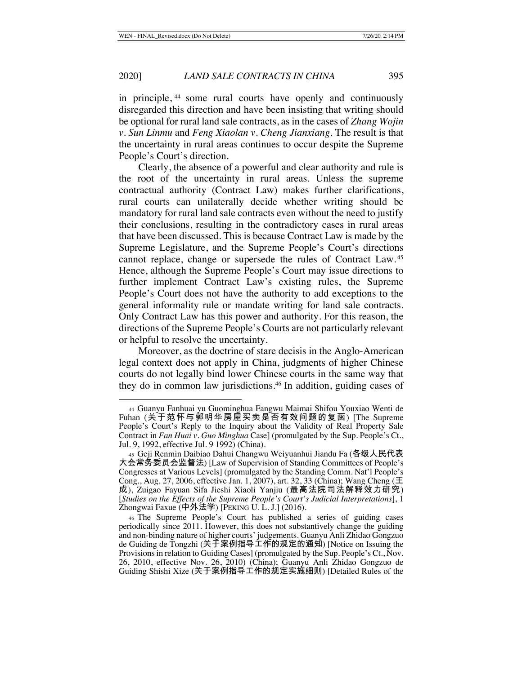in principle, 44 some rural courts have openly and continuously disregarded this direction and have been insisting that writing should be optional for rural land sale contracts, as in the cases of *Zhang Wojin v. Sun Linmu* and *Feng Xiaolan v. Cheng Jianxiang*. The result is that the uncertainty in rural areas continues to occur despite the Supreme People's Court's direction.

Clearly, the absence of a powerful and clear authority and rule is the root of the uncertainty in rural areas. Unless the supreme contractual authority (Contract Law) makes further clarifications, rural courts can unilaterally decide whether writing should be mandatory for rural land sale contracts even without the need to justify their conclusions, resulting in the contradictory cases in rural areas that have been discussed. This is because Contract Law is made by the Supreme Legislature, and the Supreme People's Court's directions cannot replace, change or supersede the rules of Contract Law. <sup>45</sup> Hence, although the Supreme People's Court may issue directions to further implement Contract Law's existing rules, the Supreme People's Court does not have the authority to add exceptions to the general informality rule or mandate writing for land sale contracts. Only Contract Law has this power and authority. For this reason, the directions of the Supreme People's Courts are not particularly relevant or helpful to resolve the uncertainty.

Moreover, as the doctrine of stare decisis in the Anglo-American legal context does not apply in China, judgments of higher Chinese courts do not legally bind lower Chinese courts in the same way that they do in common law jurisdictions.46 In addition, guiding cases of

<sup>44</sup> Guanyu Fanhuai yu Guominghua Fangwu Maimai Shifou Youxiao Wenti de Fuhan (关于范怀与郭明华房屋买卖是否有效问题的复函) [The Supreme People's Court's Reply to the Inquiry about the Validity of Real Property Sale Contract in *Fan Huai v. Guo Minghua* Case] (promulgated by the Sup. People's Ct., Jul. 9, 1992, effective Jul. 9 1992) (China).

<sup>45</sup> Geji Renmin Daibiao Dahui Changwu Weiyuanhui Jiandu Fa (各级人民代表 大会常务委员会监督法) [Law of Supervision of Standing Committees of People's Congresses at Various Levels] (promulgated by the Standing Comm. Nat'l People's Cong., Aug. 27, 2006, effective Jan. 1, 2007), art. 32, 33 (China); Wang Cheng (王 成), Zuigao Fayuan Sifa Jieshi Xiaoli Yanjiu (最高法院司法解释效力研究) [*Studies on the Effects of the Supreme People's Court's Judicial Interpretations*], 1 Zhongwai Faxue (中外法学) [PEKING U. L. J.] (2016).

<sup>46</sup> The Supreme People's Court has published a series of guiding cases periodically since 2011. However, this does not substantively change the guiding and non-binding nature of higher courts' judgements. Guanyu Anli Zhidao Gongzuo de Guiding de Tongzhi (关于案例指导工作的规定的通知) [Notice on Issuing the Provisions in relation to Guiding Cases] (promulgated by the Sup. People's Ct., Nov. 26, 2010, effective Nov. 26, 2010) (China); Guanyu Anli Zhidao Gongzuo de Guiding Shishi Xize (关于案例指导工作的规定实施细则) [Detailed Rules of the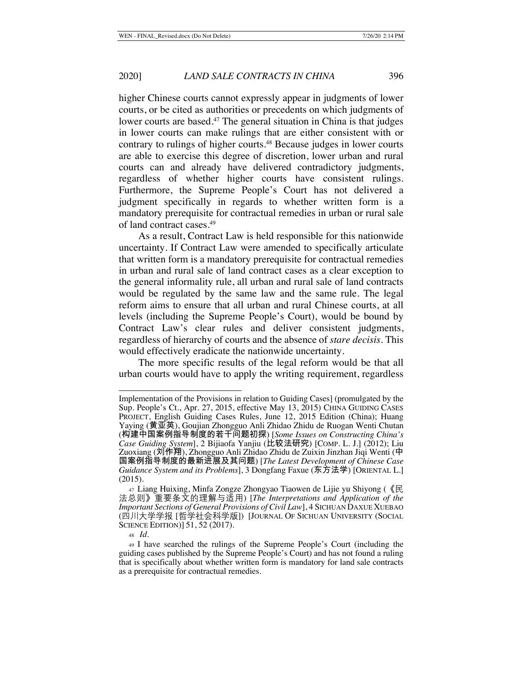higher Chinese courts cannot expressly appear in judgments of lower courts, or be cited as authorities or precedents on which judgments of lower courts are based.47 The general situation in China is that judges in lower courts can make rulings that are either consistent with or contrary to rulings of higher courts.<sup>48</sup> Because judges in lower courts are able to exercise this degree of discretion, lower urban and rural courts can and already have delivered contradictory judgments, regardless of whether higher courts have consistent rulings. Furthermore, the Supreme People's Court has not delivered a judgment specifically in regards to whether written form is a mandatory prerequisite for contractual remedies in urban or rural sale of land contract cases. 49

As a result, Contract Law is held responsible for this nationwide uncertainty. If Contract Law were amended to specifically articulate that written form is a mandatory prerequisite for contractual remedies in urban and rural sale of land contract cases as a clear exception to the general informality rule, all urban and rural sale of land contracts would be regulated by the same law and the same rule. The legal reform aims to ensure that all urban and rural Chinese courts, at all levels (including the Supreme People's Court), would be bound by Contract Law's clear rules and deliver consistent judgments, regardless of hierarchy of courts and the absence of *stare decisis*. This would effectively eradicate the nationwide uncertainty.

The more specific results of the legal reform would be that all urban courts would have to apply the writing requirement, regardless

Implementation of the Provisions in relation to Guiding Cases] (promulgated by the Sup. People's Ct., Apr. 27, 2015, effective May 13, 2015) CHINA GUIDING CASES PROJECT, English Guiding Cases Rules, June 12, 2015 Edition (China); Huang Yaying (黄亚英), Goujian Zhongguo Anli Zhidao Zhidu de Ruogan Wenti Chutan (构建中国案例指导制度的若干问题初探) [*Some Issues on Constructing China's Case Guiding System*], 2 Bijiaofa Yanjiu (比较法研究) [COMP. L. J.] (2012); Liu Zuoxiang (刘作翔), Zhongguo Anli Zhidao Zhidu de Zuixin Jinzhan Jiqi Wenti (中 国案例指导制度的最新进展及其问题) [*The Latest Development of Chinese Case Guidance System and its Problems*], 3 Dongfang Faxue (东方法学) [ORIENTAL L.] (2015).

<sup>47</sup> Liang Huixing, Minfa Zongze Zhongyao Tiaowen de Lijie yu Shiyong (《民 法总则》重要条文的理解与适用) [*The Interpretations and Application of the Important Sections of General Provisions of Civil Law*], 4 SICHUAN DAXUE XUEBAO (四川大学学报 [哲学社会科学版]) [JOURNAL OF SICHUAN UNIVERSITY (SOCIAL SCIENCE EDITION)] 51, 52 (2017).

<sup>48</sup> *Id.*

<sup>49</sup> I have searched the rulings of the Supreme People's Court (including the guiding cases published by the Supreme People's Court) and has not found a ruling that is specifically about whether written form is mandatory for land sale contracts as a prerequisite for contractual remedies.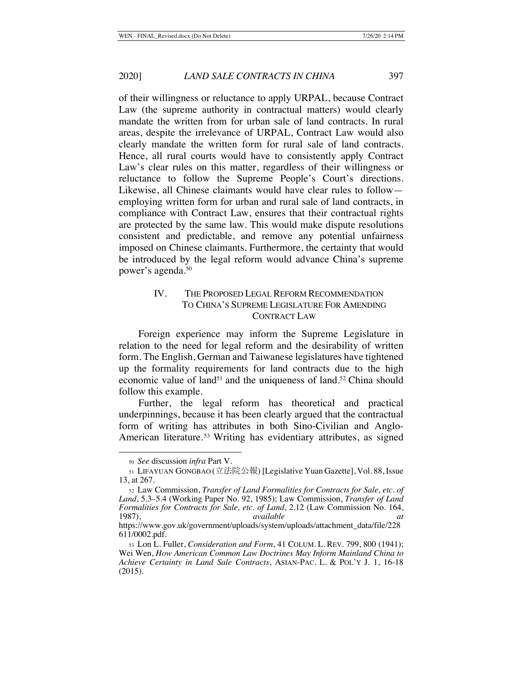of their willingness or reluctance to apply URPAL, because Contract Law (the supreme authority in contractual matters) would clearly mandate the written from for urban sale of land contracts. In rural areas, despite the irrelevance of URPAL, Contract Law would also clearly mandate the written form for rural sale of land contracts. Hence, all rural courts would have to consistently apply Contract Law's clear rules on this matter, regardless of their willingness or reluctance to follow the Supreme People's Court's directions. Likewise, all Chinese claimants would have clear rules to follow employing written form for urban and rural sale of land contracts, in compliance with Contract Law, ensures that their contractual rights are protected by the same law. This would make dispute resolutions consistent and predictable, and remove any potential unfairness imposed on Chinese claimants. Furthermore, the certainty that would be introduced by the legal reform would advance China's supreme power's agenda.50

## IV. THE PROPOSED LEGAL REFORM RECOMMENDATION TO CHINA'S SUPREME LEGISLATURE FOR AMENDING CONTRACT LAW

Foreign experience may inform the Supreme Legislature in relation to the need for legal reform and the desirability of written form. The English, German and Taiwanese legislatures have tightened up the formality requirements for land contracts due to the high economic value of land<sup>51</sup> and the uniqueness of land.<sup>52</sup> China should follow this example.

Further, the legal reform has theoretical and practical underpinnings, because it has been clearly argued that the contractual form of writing has attributes in both Sino-Civilian and Anglo-American literature.<sup>53</sup> Writing has evidentiary attributes, as signed

<sup>50</sup> *See* discussion *infra* Part V.

<sup>51</sup> LIFAYUAN GONGBAO (立法院公報) [Legislative Yuan Gazette], Vol. 88, Issue 13, at 267.

<sup>52</sup> Law Commission, *Transfer of Land Formalities for Contracts for Sale, etc. of Land*, 5.3–5.4 (Working Paper No. 92, 1985); Law Commission, *Transfer of Land Formalities for Contracts for Sale, etc. of Land*, 2.12 (Law Commission No. 164, 1987), *available at*

https://www.gov.uk/government/uploads/system/uploads/attachment\_data/file/228 611/0002.pdf.

<sup>53</sup> Lon L. Fuller, *Consideration and Form*, 41 COLUM. L. REV. 799, 800 (1941); Wei Wen, *How American Common Law Doctrines May Inform Mainland China to Achieve Certainty in Land Sale Contracts*, ASIAN-PAC. L. & POL'Y J. 1, 16-18 (2015).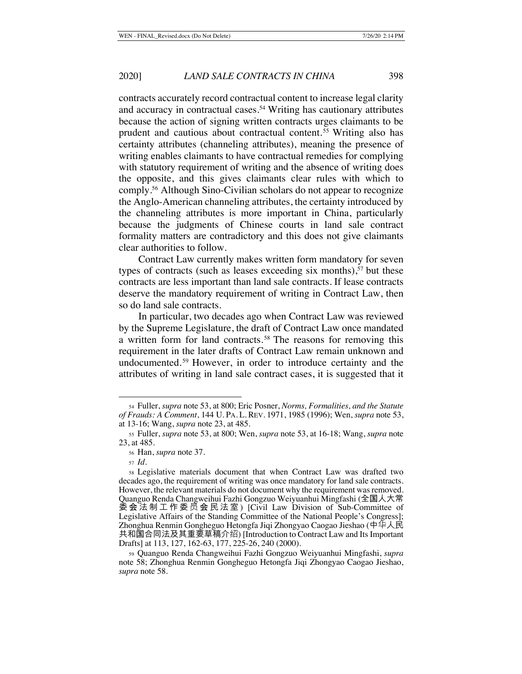contracts accurately record contractual content to increase legal clarity and accuracy in contractual cases.<sup>54</sup> Writing has cautionary attributes because the action of signing written contracts urges claimants to be prudent and cautious about contractual content. 55 Writing also has certainty attributes (channeling attributes), meaning the presence of writing enables claimants to have contractual remedies for complying with statutory requirement of writing and the absence of writing does the opposite, and this gives claimants clear rules with which to comply.56 Although Sino-Civilian scholars do not appear to recognize the Anglo-American channeling attributes, the certainty introduced by the channeling attributes is more important in China, particularly because the judgments of Chinese courts in land sale contract formality matters are contradictory and this does not give claimants clear authorities to follow.

Contract Law currently makes written form mandatory for seven types of contracts (such as leases exceeding six months), $57$  but these contracts are less important than land sale contracts. If lease contracts deserve the mandatory requirement of writing in Contract Law, then so do land sale contracts.

In particular, two decades ago when Contract Law was reviewed by the Supreme Legislature, the draft of Contract Law once mandated a written form for land contracts. 58 The reasons for removing this requirement in the later drafts of Contract Law remain unknown and undocumented. 59 However, in order to introduce certainty and the attributes of writing in land sale contract cases, it is suggested that it

<sup>54</sup> Fuller, *supra* note 53, at 800; Eric Posner, *Norms, Formalities, and the Statute of Frauds: A Comment*, 144 U. PA. L. REV. 1971, 1985 (1996); Wen, *supra* note 53, at 13-16; Wang, *supra* note 23, at 485.

<sup>55</sup> Fuller, *supra* note 53, at 800; Wen, *supra* note 53, at 16-18; Wang, *supra* note 23, at 485.

<sup>56</sup> Han, *supra* note 37.

<sup>57</sup> *Id.*

<sup>58</sup> Legislative materials document that when Contract Law was drafted two decades ago, the requirement of writing was once mandatory for land sale contracts. However, the relevant materials do not document why the requirement was removed. Quanguo Renda Changweihui Fazhi Gongzuo Weiyuanhui Mingfashi (全国人大常 委会法制工作委员会民法室) [Civil Law Division of Sub-Committee of Legislative Affairs of the Standing Committee of the National People's Congress]; Zhonghua Renmin Gongheguo Hetongfa Jiqi Zhongyao Caogao Jieshao (中华人民 共和国合同法及其重要草稿介绍) [Introduction to Contract Law and Its Important Drafts] at 113, 127, 162-63, 177, 225-26, 240 (2000).

<sup>59</sup> Quanguo Renda Changweihui Fazhi Gongzuo Weiyuanhui Mingfashi, *supra* note 58; Zhonghua Renmin Gongheguo Hetongfa Jiqi Zhongyao Caogao Jieshao, *supra* note 58.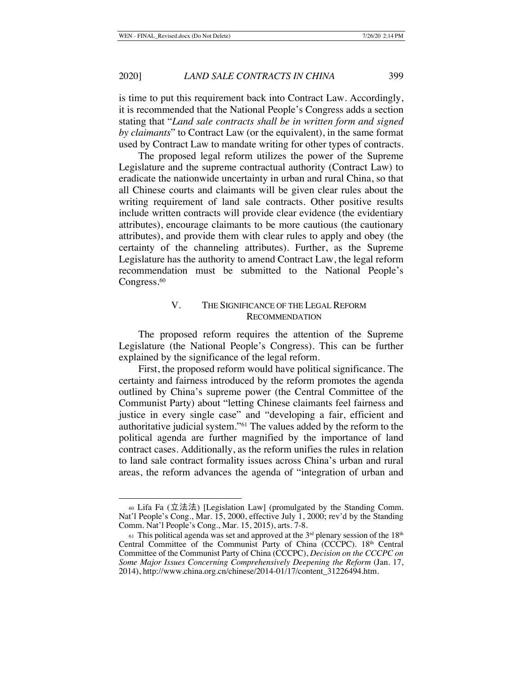is time to put this requirement back into Contract Law. Accordingly, it is recommended that the National People's Congress adds a section stating that "*Land sale contracts shall be in written form and signed by claimants*" to Contract Law (or the equivalent), in the same format used by Contract Law to mandate writing for other types of contracts.

The proposed legal reform utilizes the power of the Supreme Legislature and the supreme contractual authority (Contract Law) to eradicate the nationwide uncertainty in urban and rural China, so that all Chinese courts and claimants will be given clear rules about the writing requirement of land sale contracts. Other positive results include written contracts will provide clear evidence (the evidentiary attributes), encourage claimants to be more cautious (the cautionary attributes), and provide them with clear rules to apply and obey (the certainty of the channeling attributes). Further, as the Supreme Legislature has the authority to amend Contract Law, the legal reform recommendation must be submitted to the National People's Congress.<sup>60</sup>

## V. THE SIGNIFICANCE OF THE LEGAL REFORM **RECOMMENDATION**

The proposed reform requires the attention of the Supreme Legislature (the National People's Congress). This can be further explained by the significance of the legal reform.

First, the proposed reform would have political significance. The certainty and fairness introduced by the reform promotes the agenda outlined by China's supreme power (the Central Committee of the Communist Party) about "letting Chinese claimants feel fairness and justice in every single case" and "developing a fair, efficient and authoritative judicial system."61 The values added by the reform to the political agenda are further magnified by the importance of land contract cases. Additionally, as the reform unifies the rules in relation to land sale contract formality issues across China's urban and rural areas, the reform advances the agenda of "integration of urban and

 $\omega$  Lifa Fa (立法法) [Legislation Law] (promulgated by the Standing Comm. Nat'l People's Cong., Mar. 15, 2000, effective July 1, 2000; rev'd by the Standing Comm. Nat'l People's Cong., Mar. 15, 2015), arts. 7-8.

 $61$  This political agenda was set and approved at the  $3<sup>rd</sup>$  plenary session of the  $18<sup>th</sup>$ Central Committee of the Communist Party of China (CCCPC). 18th Central Committee of the Communist Party of China (CCCPC), *Decision on the CCCPC on Some Major Issues Concerning Comprehensively Deepening the Reform* (Jan. 17, 2014), http://www.china.org.cn/chinese/2014-01/17/content\_31226494.htm.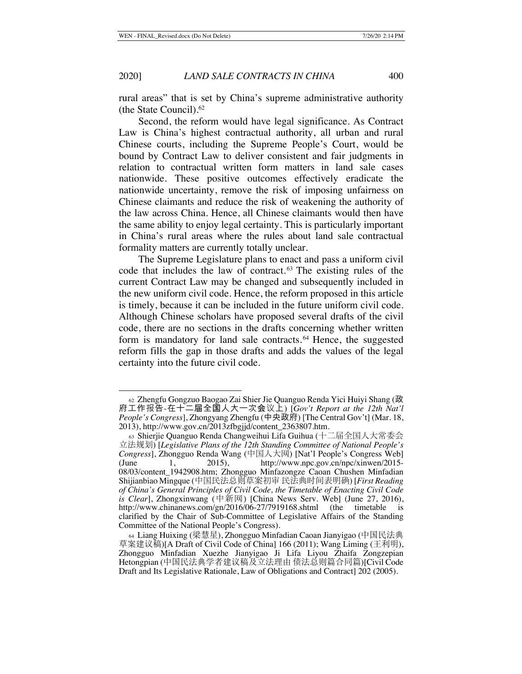rural areas" that is set by China's supreme administrative authority (the State Council).62

Second, the reform would have legal significance. As Contract Law is China's highest contractual authority, all urban and rural Chinese courts, including the Supreme People's Court, would be bound by Contract Law to deliver consistent and fair judgments in relation to contractual written form matters in land sale cases nationwide. These positive outcomes effectively eradicate the nationwide uncertainty, remove the risk of imposing unfairness on Chinese claimants and reduce the risk of weakening the authority of the law across China. Hence, all Chinese claimants would then have the same ability to enjoy legal certainty. This is particularly important in China's rural areas where the rules about land sale contractual formality matters are currently totally unclear.

The Supreme Legislature plans to enact and pass a uniform civil code that includes the law of contract. 63 The existing rules of the current Contract Law may be changed and subsequently included in the new uniform civil code. Hence, the reform proposed in this article is timely, because it can be included in the future uniform civil code. Although Chinese scholars have proposed several drafts of the civil code, there are no sections in the drafts concerning whether written form is mandatory for land sale contracts. 64 Hence, the suggested reform fills the gap in those drafts and adds the values of the legal certainty into the future civil code.

<sup>62</sup> Zhengfu Gongzuo Baogao Zai Shier Jie Quanguo Renda Yici Huiyi Shang (政 府工作报告-在十二届全国人大一次会议上) [*Gov't Report at the 12th Nat'l People's Congress*], Zhongyang Zhengfu (中央政府) [The Central Gov't] (Mar. 18, 2013), http://www.gov.cn/2013zfbgjjd/content\_2363807.htm.

<sup>63</sup> Shierjie Quanguo Renda Changweihui Lifa Guihua (十二届全国人大常委会 立法规划) [*Legislative Plans of the 12th Standing Committee of National People's Congress*], Zhongguo Renda Wang (中国人大网) [Nat'l People's Congress Web] 1, 2015), http://www.npc.gov.cn/npc/xinwen/2015-08/03/content\_1942908.htm; Zhongguo Minfazongze Caoan Chushen Minfadian Shijianbiao Mingque (中国民法总则草案初审 民法典时间表明确) [*First Reading of China's General Principles of Civil Code, the Timetable of Enacting Civil Code is Clear*], Zhongxinwang (中新网) [China News Serv. Web] (June 27, 2016), http://www.chinanews.com/gn/2016/06-27/7919168.shtml (the timetable is clarified by the Chair of Sub-Committee of Legislative Affairs of the Standing Committee of the National People's Congress).

<sup>64</sup> Liang Huixing (梁慧星), Zhongguo Minfadian Caoan Jianyigao (中国民法典 草案建议稿)[A Draft of Civil Code of China] 166 (2011); Wang Liming (王利明), Zhongguo Minfadian Xuezhe Jianyigao Ji Lifa Liyou Zhaifa Zongzepian Hetongpian (中国民法典学者建议稿及立法理由 债法总则篇合同篇)[Civil Code Draft and Its Legislative Rationale, Law of Obligations and Contract] 202 (2005).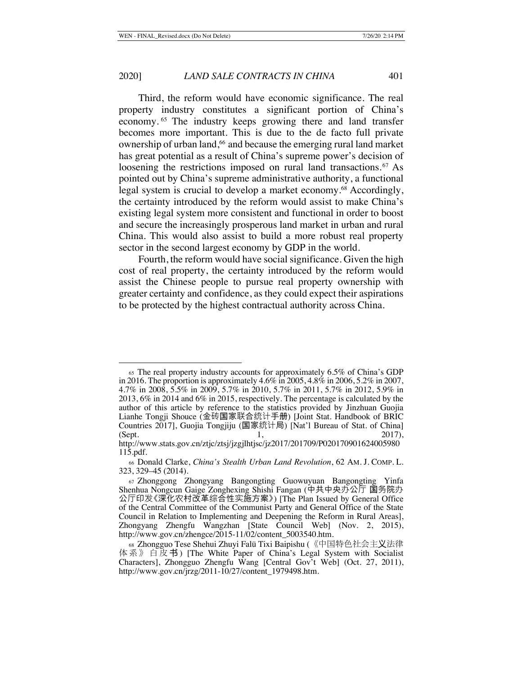Third, the reform would have economic significance. The real property industry constitutes a significant portion of China's economy. 65 The industry keeps growing there and land transfer becomes more important. This is due to the de facto full private ownership of urban land,<sup>66</sup> and because the emerging rural land market has great potential as a result of China's supreme power's decision of loosening the restrictions imposed on rural land transactions.<sup>67</sup> As pointed out by China's supreme administrative authority, a functional legal system is crucial to develop a market economy.<sup>68</sup> Accordingly, the certainty introduced by the reform would assist to make China's existing legal system more consistent and functional in order to boost and secure the increasingly prosperous land market in urban and rural China. This would also assist to build a more robust real property sector in the second largest economy by GDP in the world.

Fourth, the reform would have social significance. Given the high cost of real property, the certainty introduced by the reform would assist the Chinese people to pursue real property ownership with greater certainty and confidence, as they could expect their aspirations to be protected by the highest contractual authority across China.

<sup>65</sup> The real property industry accounts for approximately 6.5% of China's GDP in 2016. The proportion is approximately 4.6% in 2005, 4.8% in 2006, 5.2% in 2007, 4.7% in 2008, 5.5% in 2009, 5.7% in 2010, 5.7% in 2011, 5.7% in 2012, 5.9% in 2013, 6% in 2014 and 6% in 2015, respectively. The percentage is calculated by the author of this article by reference to the statistics provided by Jinzhuan Guojia Lianhe Tongji Shouce (金砖国家联合统计手册) [Joint Stat. Handbook of BRIC Countries 2017], Guojia Tongjiju (国家统计局) [Nat'l Bureau of Stat. of China] (Sept. 2017),

http://www.stats.gov.cn/ztjc/ztsj/jzgjlhtjsc/jz2017/201709/P020170901624005980 115.pdf.

<sup>66</sup> Donald Clarke, *China's Stealth Urban Land Revolution*, 62 AM. J. COMP. L. 323, 329–45 (2014).

<sup>67</sup> Zhonggong Zhongyang Bangongting Guowuyuan Bangongting Yinfa Shenhua Nongcun Gaige Zonghexing Shishi Fangan (中共中央办公厅 国务院办 公厅印发《深化农村改革综合性实施方案》) [The Plan Issued by General Office of the Central Committee of the Communist Party and General Office of the State Council in Relation to Implementing and Deepening the Reform in Rural Areas], Zhongyang Zhengfu Wangzhan [State Council Web] (Nov. 2, 2015), http://www.gov.cn/zhengce/2015-11/02/content\_5003540.htm.

<sup>68</sup> Zhongguo Tese Shehui Zhuyi Falü Tixi Baipishu (《中国特色社会主义法律 体系》白皮书) [The White Paper of China's Legal System with Socialist Characters], Zhongguo Zhengfu Wang [Central Gov't Web] (Oct. 27, 2011), http://www.gov.cn/jrzg/2011-10/27/content\_1979498.htm.